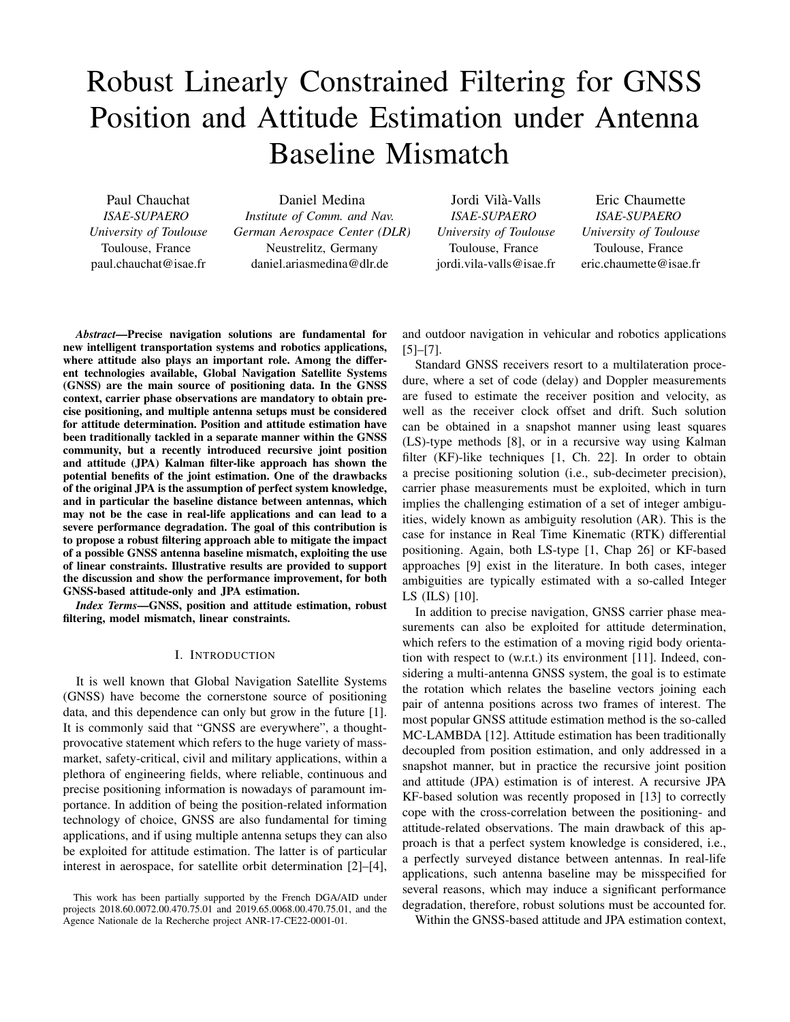# Robust Linearly Constrained Filtering for GNSS Position and Attitude Estimation under Antenna Baseline Mismatch

Paul Chauchat *ISAE-SUPAERO University of Toulouse* Toulouse, France paul.chauchat@isae.fr

Daniel Medina *Institute of Comm. and Nav. German Aerospace Center (DLR)* Neustrelitz, Germany daniel.ariasmedina@dlr.de

Jordi Vila-Valls ` *ISAE-SUPAERO University of Toulouse* Toulouse, France jordi.vila-valls@isae.fr

Eric Chaumette *ISAE-SUPAERO University of Toulouse* Toulouse, France eric.chaumette@isae.fr

*Abstract*—Precise navigation solutions are fundamental for new intelligent transportation systems and robotics applications, where attitude also plays an important role. Among the different technologies available, Global Navigation Satellite Systems (GNSS) are the main source of positioning data. In the GNSS context, carrier phase observations are mandatory to obtain precise positioning, and multiple antenna setups must be considered for attitude determination. Position and attitude estimation have been traditionally tackled in a separate manner within the GNSS community, but a recently introduced recursive joint position and attitude (JPA) Kalman filter-like approach has shown the potential benefits of the joint estimation. One of the drawbacks of the original JPA is the assumption of perfect system knowledge, and in particular the baseline distance between antennas, which may not be the case in real-life applications and can lead to a severe performance degradation. The goal of this contribution is to propose a robust filtering approach able to mitigate the impact of a possible GNSS antenna baseline mismatch, exploiting the use of linear constraints. Illustrative results are provided to support the discussion and show the performance improvement, for both GNSS-based attitude-only and JPA estimation.

*Index Terms*—GNSS, position and attitude estimation, robust filtering, model mismatch, linear constraints.

## I. INTRODUCTION

It is well known that Global Navigation Satellite Systems (GNSS) have become the cornerstone source of positioning data, and this dependence can only but grow in the future [1]. It is commonly said that "GNSS are everywhere", a thoughtprovocative statement which refers to the huge variety of massmarket, safety-critical, civil and military applications, within a plethora of engineering fields, where reliable, continuous and precise positioning information is nowadays of paramount importance. In addition of being the position-related information technology of choice, GNSS are also fundamental for timing applications, and if using multiple antenna setups they can also be exploited for attitude estimation. The latter is of particular interest in aerospace, for satellite orbit determination [2]–[4],

and outdoor navigation in vehicular and robotics applications [5]–[7].

Standard GNSS receivers resort to a multilateration procedure, where a set of code (delay) and Doppler measurements are fused to estimate the receiver position and velocity, as well as the receiver clock offset and drift. Such solution can be obtained in a snapshot manner using least squares (LS)-type methods [8], or in a recursive way using Kalman filter (KF)-like techniques [1, Ch. 22]. In order to obtain a precise positioning solution (i.e., sub-decimeter precision), carrier phase measurements must be exploited, which in turn implies the challenging estimation of a set of integer ambiguities, widely known as ambiguity resolution (AR). This is the case for instance in Real Time Kinematic (RTK) differential positioning. Again, both LS-type [1, Chap 26] or KF-based approaches [9] exist in the literature. In both cases, integer ambiguities are typically estimated with a so-called Integer LS (ILS) [10].

In addition to precise navigation, GNSS carrier phase measurements can also be exploited for attitude determination, which refers to the estimation of a moving rigid body orientation with respect to (w.r.t.) its environment [11]. Indeed, considering a multi-antenna GNSS system, the goal is to estimate the rotation which relates the baseline vectors joining each pair of antenna positions across two frames of interest. The most popular GNSS attitude estimation method is the so-called MC-LAMBDA [12]. Attitude estimation has been traditionally decoupled from position estimation, and only addressed in a snapshot manner, but in practice the recursive joint position and attitude (JPA) estimation is of interest. A recursive JPA KF-based solution was recently proposed in [13] to correctly cope with the cross-correlation between the positioning- and attitude-related observations. The main drawback of this approach is that a perfect system knowledge is considered, i.e., a perfectly surveyed distance between antennas. In real-life applications, such antenna baseline may be misspecified for several reasons, which may induce a significant performance degradation, therefore, robust solutions must be accounted for.

Within the GNSS-based attitude and JPA estimation context,

This work has been partially supported by the French DGA/AID under projects 2018.60.0072.00.470.75.01 and 2019.65.0068.00.470.75.01, and the Agence Nationale de la Recherche project ANR-17-CE22-0001-01.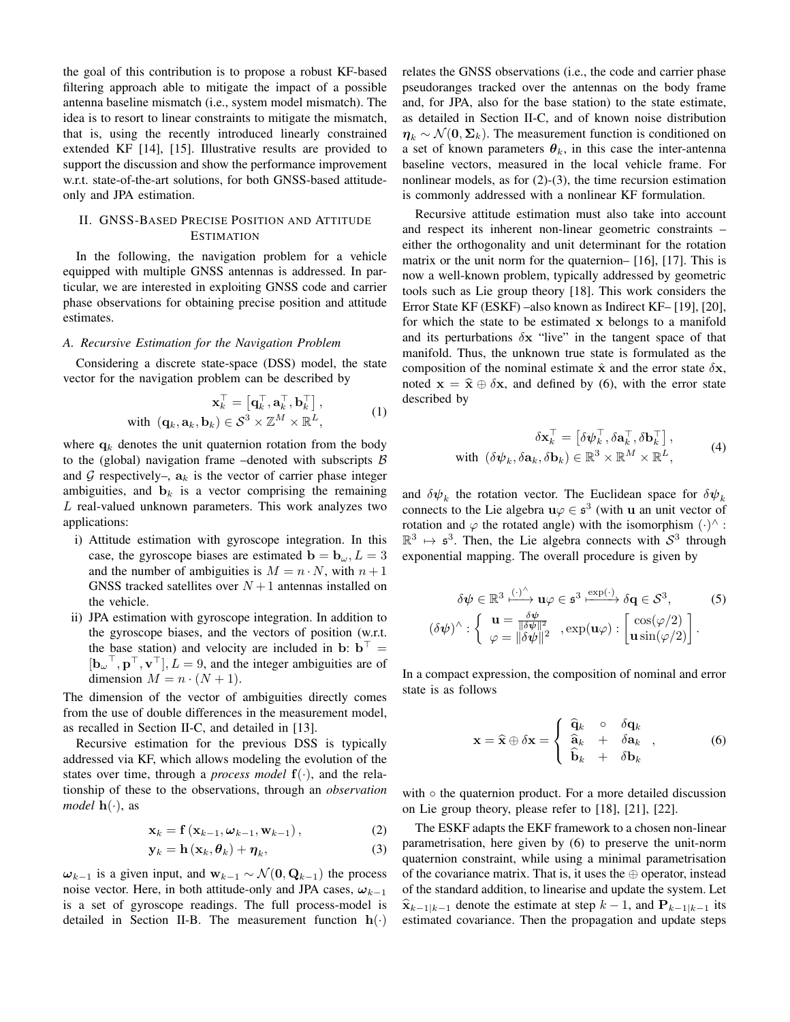the goal of this contribution is to propose a robust KF-based filtering approach able to mitigate the impact of a possible antenna baseline mismatch (i.e., system model mismatch). The idea is to resort to linear constraints to mitigate the mismatch, that is, using the recently introduced linearly constrained extended KF [14], [15]. Illustrative results are provided to support the discussion and show the performance improvement w.r.t. state-of-the-art solutions, for both GNSS-based attitudeonly and JPA estimation.

## II. GNSS-BASED PRECISE POSITION AND ATTITUDE **ESTIMATION**

In the following, the navigation problem for a vehicle equipped with multiple GNSS antennas is addressed. In particular, we are interested in exploiting GNSS code and carrier phase observations for obtaining precise position and attitude estimates.

#### *A. Recursive Estimation for the Navigation Problem*

Considering a discrete state-space (DSS) model, the state vector for the navigation problem can be described by

$$
\mathbf{x}_k^{\top} = \left[ \mathbf{q}_k^{\top}, \mathbf{a}_k^{\top}, \mathbf{b}_k^{\top} \right],
$$
  
with  $(\mathbf{q}_k, \mathbf{a}_k, \mathbf{b}_k) \in \mathcal{S}^3 \times \mathbb{Z}^M \times \mathbb{R}^L,$  (1)

where  $q_k$  denotes the unit quaternion rotation from the body to the (global) navigation frame -denoted with subscripts  $B$ and G respectively–,  $a_k$  is the vector of carrier phase integer ambiguities, and  $\mathbf{b}_k$  is a vector comprising the remaining L real-valued unknown parameters. This work analyzes two applications:

- i) Attitude estimation with gyroscope integration. In this case, the gyroscope biases are estimated  $\mathbf{b} = \mathbf{b}_{\omega}, L = 3$ and the number of ambiguities is  $M = n \cdot N$ , with  $n+1$ GNSS tracked satellites over  $N+1$  antennas installed on the vehicle.
- ii) JPA estimation with gyroscope integration. In addition to the gyroscope biases, and the vectors of position (w.r.t. the base station) and velocity are included in b:  $\mathbf{b}^{\top} =$  $[\mathbf{b}_{\omega}^\top, \mathbf{p}^\top, \mathbf{v}^\top]$ ,  $L = 9$ , and the integer ambiguities are of dimension  $M = n \cdot (N + 1)$ .

The dimension of the vector of ambiguities directly comes from the use of double differences in the measurement model, as recalled in Section II-C, and detailed in [13].

Recursive estimation for the previous DSS is typically addressed via KF, which allows modeling the evolution of the states over time, through a *process model*  $f(\cdot)$ , and the relationship of these to the observations, through an *observation model*  $h(\cdot)$ , as

$$
\mathbf{x}_{k} = \mathbf{f}\left(\mathbf{x}_{k-1}, \boldsymbol{\omega}_{k-1}, \mathbf{w}_{k-1}\right),\tag{2}
$$

$$
\mathbf{y}_k = \mathbf{h}\left(\mathbf{x}_k, \boldsymbol{\theta}_k\right) + \boldsymbol{\eta}_k,\tag{3}
$$

 $\omega_{k-1}$  is a given input, and  $\mathbf{w}_{k-1} \sim \mathcal{N}(\mathbf{0}, \mathbf{Q}_{k-1})$  the process noise vector. Here, in both attitude-only and JPA cases,  $\omega_{k-1}$ is a set of gyroscope readings. The full process-model is detailed in Section II-B. The measurement function  $h(\cdot)$  relates the GNSS observations (i.e., the code and carrier phase pseudoranges tracked over the antennas on the body frame and, for JPA, also for the base station) to the state estimate, as detailed in Section II-C, and of known noise distribution  $\eta_k \sim \mathcal{N}(0, \Sigma_k)$ . The measurement function is conditioned on a set of known parameters  $\theta_k$ , in this case the inter-antenna baseline vectors, measured in the local vehicle frame. For nonlinear models, as for (2)-(3), the time recursion estimation is commonly addressed with a nonlinear KF formulation.

Recursive attitude estimation must also take into account and respect its inherent non-linear geometric constraints – either the orthogonality and unit determinant for the rotation matrix or the unit norm for the quaternion– [16], [17]. This is now a well-known problem, typically addressed by geometric tools such as Lie group theory [18]. This work considers the Error State KF (ESKF) –also known as Indirect KF– [19], [20], for which the state to be estimated x belongs to a manifold and its perturbations  $\delta x$  "live" in the tangent space of that manifold. Thus, the unknown true state is formulated as the composition of the nominal estimate  $\hat{\mathbf{x}}$  and the error state  $\delta \mathbf{x}$ , noted  $\mathbf{x} = \hat{\mathbf{x}} \oplus \delta \mathbf{x}$ , and defined by (6), with the error state described by

$$
\delta \mathbf{x}_k^{\top} = \left[ \delta \boldsymbol{\psi}_k^{\top}, \delta \mathbf{a}_k^{\top}, \delta \mathbf{b}_k^{\top} \right],
$$
  
with  $(\delta \boldsymbol{\psi}_k, \delta \mathbf{a}_k, \delta \mathbf{b}_k) \in \mathbb{R}^3 \times \mathbb{R}^M \times \mathbb{R}^L,$  (4)

and  $\delta \psi_k$  the rotation vector. The Euclidean space for  $\delta \psi_k$ connects to the Lie algebra  $\mathbf{u}\varphi \in \mathfrak{s}^3$  (with u an unit vector of rotation and  $\varphi$  the rotated angle) with the isomorphism  $(\cdot)^{\wedge}$ :  $\mathbb{R}^3 \mapsto$   $\mathfrak{s}^3$ . Then, the Lie algebra connects with  $\mathcal{S}^3$  through exponential mapping. The overall procedure is given by

$$
\delta \psi \in \mathbb{R}^3 \xrightarrow{(\cdot)^\wedge} \mathbf{u} \varphi \in \mathfrak{s}^3 \xrightarrow{\exp(\cdot)} \delta \mathbf{q} \in \mathcal{S}^3, \qquad (5)
$$

$$
(\delta \psi)^\wedge : \left\{ \begin{array}{l} \mathbf{u} = \frac{\delta \psi}{\|\delta \psi\|^2} \\ \varphi = \|\delta \psi\|^2 \end{array}, \exp(\mathbf{u} \varphi) : \begin{bmatrix} \cos(\varphi/2) \\ \mathbf{u} \sin(\varphi/2) \end{bmatrix} \right\}.
$$

In a compact expression, the composition of nominal and error state is as follows

$$
\mathbf{x} = \hat{\mathbf{x}} \oplus \delta \mathbf{x} = \begin{cases} \n\hat{\mathbf{q}}_k & \circ & \delta \mathbf{q}_k \\ \n\hat{\mathbf{a}}_k & + \delta \mathbf{a}_k \\ \n\hat{\mathbf{b}}_k & + \delta \mathbf{b}_k \n\end{cases} \tag{6}
$$

with ∘ the quaternion product. For a more detailed discussion on Lie group theory, please refer to [18], [21], [22].

The ESKF adapts the EKF framework to a chosen non-linear parametrisation, here given by (6) to preserve the unit-norm quaternion constraint, while using a minimal parametrisation of the covariance matrix. That is, it uses the  $oplus$  operator, instead of the standard addition, to linearise and update the system. Let  $\widehat{\mathbf{x}}_{k-1|k-1}$  denote the estimate at step  $k-1$ , and  $\mathbf{P}_{k-1|k-1}$  its estimated covariance. Then the propagation and update steps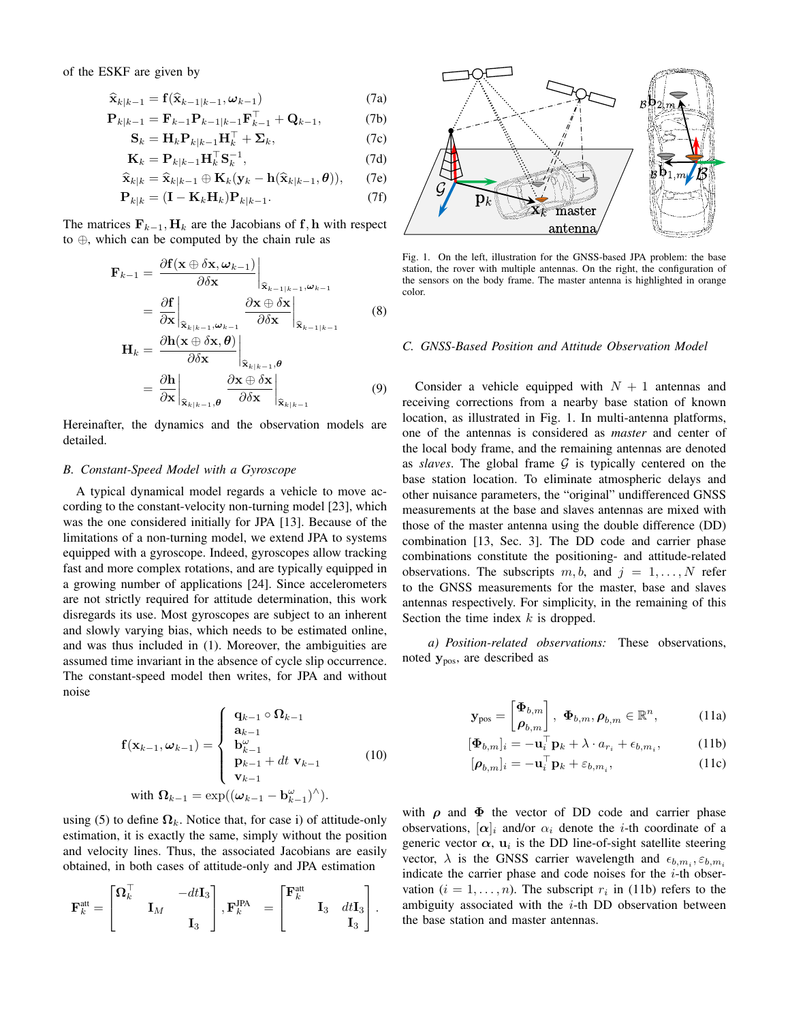of the ESKF are given by

$$
\widehat{\mathbf{x}}_{k|k-1} = \mathbf{f}(\widehat{\mathbf{x}}_{k-1|k-1}, \boldsymbol{\omega}_{k-1})
$$
\n(7a)

$$
\mathbf{P}_{k|k-1} = \mathbf{F}_{k-1} \mathbf{P}_{k-1|k-1} \mathbf{F}_{k-1}^{\top} + \mathbf{Q}_{k-1},
$$
 (7b)

$$
\mathbf{S}_k = \mathbf{H}_k \mathbf{P}_{k|k-1} \mathbf{H}_k^\top + \mathbf{\Sigma}_k, \tag{7c}
$$

$$
\mathbf{K}_k = \mathbf{P}_{k|k-1} \mathbf{H}_k^\top \mathbf{S}_k^{-1},\tag{7d}
$$

$$
\widehat{\mathbf{x}}_{k|k} = \widehat{\mathbf{x}}_{k|k-1} \oplus \mathbf{K}_k (\mathbf{y}_k - \mathbf{h}(\widehat{\mathbf{x}}_{k|k-1}, \boldsymbol{\theta})), \qquad (7e)
$$

$$
\mathbf{P}_{k|k} = (\mathbf{I} - \mathbf{K}_k \mathbf{H}_k) \mathbf{P}_{k|k-1}.
$$
 (7f)

The matrices  $\mathbf{F}_{k-1}$ ,  $\mathbf{H}_k$  are the Jacobians of f, h with respect to ⊕, which can be computed by the chain rule as

$$
\mathbf{F}_{k-1} = \frac{\partial \mathbf{f}(\mathbf{x} \oplus \delta \mathbf{x}, \omega_{k-1})}{\partial \delta \mathbf{x}} \Big|_{\widehat{\mathbf{x}}_{k-1|k-1}, \omega_{k-1}} \n= \frac{\partial \mathbf{f}}{\partial \mathbf{x}} \Big|_{\widehat{\mathbf{x}}_{k-1|k-1}, \omega_{k-1}} \frac{\partial \mathbf{x} \oplus \delta \mathbf{x}}{\partial \delta \mathbf{x}} \Big|_{\widehat{\mathbf{x}}_{k-1|k-1}}.
$$
\n(8)

$$
\mathbf{H}_{k} = \frac{\partial \mathbf{h}(\mathbf{x} \oplus \delta \mathbf{x}, \boldsymbol{\theta})}{\partial \delta \mathbf{x}} \Big|_{\widehat{\mathbf{x}}_{k|k-1}, \boldsymbol{\theta}} \frac{\partial \mathbf{x}}{\partial \delta \mathbf{x}} \frac{\Big|_{\widehat{\mathbf{x}}_{k-1|k-1}}}{\Big|_{\widehat{\mathbf{x}}_{k|k-1}, \boldsymbol{\theta}}} \n= \frac{\partial \mathbf{h}}{\partial \mathbf{x}} \Big|_{\widehat{\mathbf{x}}_{k|k-1}, \boldsymbol{\theta}} \frac{\partial \mathbf{x} \oplus \delta \mathbf{x}}{\partial \delta \mathbf{x}} \Big|_{\widehat{\mathbf{x}}_{k|k-1}}
$$
\n(9)

Hereinafter, the dynamics and the observation models are detailed.

## *B. Constant-Speed Model with a Gyroscope*

A typical dynamical model regards a vehicle to move according to the constant-velocity non-turning model [23], which was the one considered initially for JPA [13]. Because of the limitations of a non-turning model, we extend JPA to systems equipped with a gyroscope. Indeed, gyroscopes allow tracking fast and more complex rotations, and are typically equipped in a growing number of applications [24]. Since accelerometers are not strictly required for attitude determination, this work disregards its use. Most gyroscopes are subject to an inherent and slowly varying bias, which needs to be estimated online, and was thus included in (1). Moreover, the ambiguities are assumed time invariant in the absence of cycle slip occurrence. The constant-speed model then writes, for JPA and without noise

$$
\mathbf{f}(\mathbf{x}_{k-1}, \omega_{k-1}) = \begin{cases} \mathbf{q}_{k-1} \circ \mathbf{\Omega}_{k-1} \\ \mathbf{a}_{k-1} \\ \mathbf{b}_{k-1}^{\omega} \\ \mathbf{p}_{k-1} + dt \mathbf{v}_{k-1} \\ \mathbf{v}_{k-1} \end{cases} \quad (10)
$$
  
with  $\mathbf{\Omega}_{k-1} = \exp((\omega_{k-1} - \mathbf{b}_{k-1}^{\omega})^{\wedge}).$ 

using (5) to define  $\Omega_k$ . Notice that, for case i) of attitude-only estimation, it is exactly the same, simply without the position and velocity lines. Thus, the associated Jacobians are easily obtained, in both cases of attitude-only and JPA estimation

$$
\mathbf{F}_{k}^{\text{att}} = \begin{bmatrix} \mathbf{\Omega}_{k}^{\top} & -dt \mathbf{I}_{3} \\ & \mathbf{I}_{M} & \\ & & \mathbf{I}_{3} \end{bmatrix}, \mathbf{F}_{k}^{\text{JPA}} = \begin{bmatrix} \mathbf{F}_{k}^{\text{att}} & \\ & \mathbf{I}_{3} & dt \mathbf{I}_{3} \\ & & \mathbf{I}_{3} \end{bmatrix}.
$$



Fig. 1. On the left, illustration for the GNSS-based JPA problem: the base station, the rover with multiple antennas. On the right, the configuration of the sensors on the body frame. The master antenna is highlighted in orange color.

#### *C. GNSS-Based Position and Attitude Observation Model*

Consider a vehicle equipped with  $N + 1$  antennas and receiving corrections from a nearby base station of known location, as illustrated in Fig. 1. In multi-antenna platforms, one of the antennas is considered as *master* and center of the local body frame, and the remaining antennas are denoted as *slaves*. The global frame  $G$  is typically centered on the base station location. To eliminate atmospheric delays and other nuisance parameters, the "original" undifferenced GNSS measurements at the base and slaves antennas are mixed with those of the master antenna using the double difference (DD) combination [13, Sec. 3]. The DD code and carrier phase combinations constitute the positioning- and attitude-related observations. The subscripts  $m, b$ , and  $j = 1, \ldots, N$  refer to the GNSS measurements for the master, base and slaves antennas respectively. For simplicity, in the remaining of this Section the time index  $k$  is dropped.

*a) Position-related observations:* These observations, noted ypos, are described as

$$
\mathbf{y}_{\text{pos}} = \begin{bmatrix} \mathbf{\Phi}_{b,m} \\ \mathbf{\rho}_{b,m} \end{bmatrix}, \ \mathbf{\Phi}_{b,m}, \mathbf{\rho}_{b,m} \in \mathbb{R}^n, \quad (11a)
$$

$$
[\mathbf{\Phi}_{b,m}]_i = -\mathbf{u}_i^{\top} \mathbf{p}_k + \lambda \cdot a_{r_i} + \epsilon_{b,m_i},\tag{11b}
$$

$$
[\boldsymbol{\rho}_{b,m}]_i = -\mathbf{u}_i^{\top} \mathbf{p}_k + \varepsilon_{b,m_i},\tag{11c}
$$

with  $\rho$  and  $\Phi$  the vector of DD code and carrier phase observations,  $[\alpha]_i$  and/or  $\alpha_i$  denote the *i*-th coordinate of a generic vector  $\alpha$ ,  $\mathbf{u}_i$  is the DD line-of-sight satellite steering vector,  $\lambda$  is the GNSS carrier wavelength and  $\epsilon_{b,m_i}, \epsilon_{b,m_i}$ indicate the carrier phase and code noises for the  $i$ -th observation  $(i = 1, ..., n)$ . The subscript  $r_i$  in (11b) refers to the ambiguity associated with the  $i$ -th DD observation between the base station and master antennas.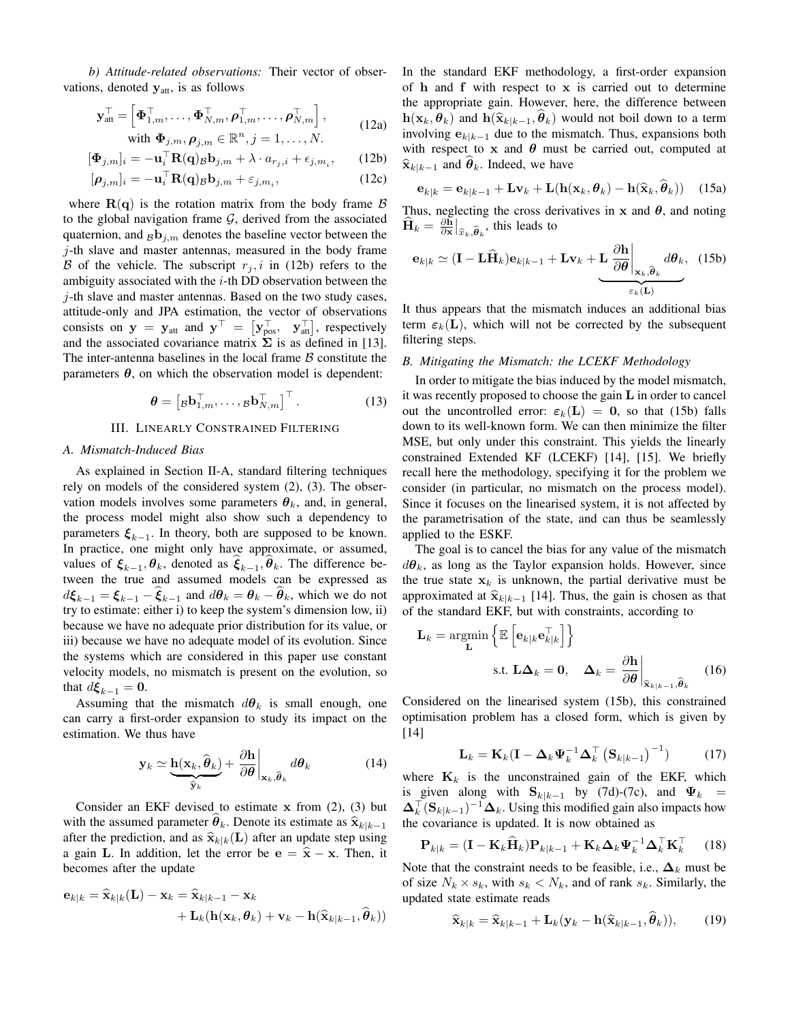*b) Attitude-related observations:* Their vector of observations, denoted  $y_{\text{att}}$ , is as follows

$$
\mathbf{y}_{\text{att}}^{\top} = \left[\mathbf{\Phi}_{1,m}^{\top}, \dots, \mathbf{\Phi}_{N,m}^{\top}, \boldsymbol{\rho}_{1,m}^{\top}, \dots, \boldsymbol{\rho}_{N,m}^{\top}\right],
$$
  
with  $\mathbf{\Phi}_{j,m}, \boldsymbol{\rho}_{j,m} \in \mathbb{R}^n, j = 1, \dots, N.$  (12a)

$$
[\mathbf{\Phi}_{j,m}]_i = -\mathbf{u}_i^\top \mathbf{R}(\mathbf{q})_\mathcal{B} \mathbf{b}_{j,m} + \lambda \cdot a_{r_j,i} + \epsilon_{j,m_i}, \qquad (12b)
$$

$$
[\boldsymbol{\rho}_{j,m}]_i = -\mathbf{u}_i^{\top} \mathbf{R}(\mathbf{q})_{\mathcal{B}} \mathbf{b}_{j,m} + \varepsilon_{j,m_i},
$$
 (12c)

where  $R(q)$  is the rotation matrix from the body frame  $\beta$ to the global navigation frame  $G$ , derived from the associated quaternion, and  $B_{\beta,m}$  denotes the baseline vector between the j-th slave and master antennas, measured in the body frame B of the vehicle. The subscript  $r_j$ , i in (12b) refers to the ambiguity associated with the  $i$ -th DD observation between the j-th slave and master antennas. Based on the two study cases, attitude-only and JPA estimation, the vector of observations consists on  $y = y_{att}$  and  $y^{\top} = [y_{pos}^{\top}, y_{att}^{\top}]$ , respectively and the associated covariance matrix  $\Sigma$  is as defined in [13]. The inter-antenna baselines in the local frame  $\beta$  constitute the parameters  $\theta$ , on which the observation model is dependent:

$$
\boldsymbol{\theta} = \left[ B \mathbf{b}_{1,m}^{\top}, \dots, B \mathbf{b}_{N,m}^{\top} \right]^{\top}.
$$
 (13)

#### III. LINEARLY CONSTRAINED FILTERING

## *A. Mismatch-Induced Bias*

As explained in Section II-A, standard filtering techniques rely on models of the considered system (2), (3). The observation models involves some parameters  $\theta_k$ , and, in general, the process model might also show such a dependency to parameters  $\xi_{k-1}$ . In theory, both are supposed to be known. In practice, one might only have approximate, or assumed, values of  $\xi_{k-1}, \theta_k$ , denoted as  $\xi_{k-1}, \theta_k$ . The difference between the true and assumed models can be expressed as  $d\xi_{k-1} = \xi_{k-1} - \xi_{k-1}$  and  $d\theta_k = \theta_k - \theta_k$ , which we do not try to estimate: either i) to keep the system's dimension low, ii) because we have no adequate prior distribution for its value, or iii) because we have no adequate model of its evolution. Since the systems which are considered in this paper use constant velocity models, no mismatch is present on the evolution, so that  $d\xi_{k-1} = 0$ .

Assuming that the mismatch  $d\theta_k$  is small enough, one can carry a first-order expansion to study its impact on the estimation. We thus have

$$
\mathbf{y}_k \simeq \underbrace{\mathbf{h}(\mathbf{x}_k, \widehat{\boldsymbol{\theta}}_k)}_{\widehat{\mathbf{y}}_k} + \left. \frac{\partial \mathbf{h}}{\partial \boldsymbol{\theta}} \right|_{\mathbf{x}_k, \widehat{\boldsymbol{\theta}}_k} d\boldsymbol{\theta}_k \tag{14}
$$

Consider an EKF devised to estimate  $x$  from  $(2)$ ,  $(3)$  but with the assumed parameter  $\hat{\theta}_k$ . Denote its estimate as  $\hat{x}_{k|k-1}$ after the prediction, and as  $\hat{\mathbf{x}}_{k|k}(\mathbf{L})$  after an update step using a gain L. In addition, let the error be  $e = \hat{x} - x$ . Then, it becomes after the update

$$
\mathbf{e}_{k|k} = \widehat{\mathbf{x}}_{k|k}(\mathbf{L}) - \mathbf{x}_k = \widehat{\mathbf{x}}_{k|k-1} - \mathbf{x}_k + \mathbf{L}_k(\mathbf{h}(\mathbf{x}_k, \boldsymbol{\theta}_k) + \mathbf{v}_k - \mathbf{h}(\widehat{\mathbf{x}}_{k|k-1}, \widehat{\boldsymbol{\theta}}_k))
$$

In the standard EKF methodology, a first-order expansion of h and f with respect to x is carried out to determine the appropriate gain. However, here, the difference between  $h(\mathbf{x}_k, \theta_k)$  and  $h(\widehat{\mathbf{x}}_{k|k-1}, \widehat{\theta}_k)$  would not boil down to a term involving  $e_{k|k-1}$  due to the mismatch. Thus, expansions both with respect to x and  $\theta$  must be carried out, computed at  $\widehat{\mathbf{x}}_{k|k-1}$  and  $\widehat{\boldsymbol{\theta}}_k$ . Indeed, we have

$$
\mathbf{e}_{k|k} = \mathbf{e}_{k|k-1} + \mathbf{L}\mathbf{v}_k + \mathbf{L}(\mathbf{h}(\mathbf{x}_k, \boldsymbol{\theta}_k) - \mathbf{h}(\widehat{\mathbf{x}}_k, \widehat{\boldsymbol{\theta}}_k)) \quad (15a)
$$

Thus, neglecting the cross derivatives in  $x$  and  $\theta$ , and noting  $\widehat{\mathbf{H}}_k = \frac{\partial \mathbf{h}}{\partial \mathbf{x}} \big|_{\widehat{x}_k, \widehat{\boldsymbol{\theta}}_k}$ , this leads to

$$
\mathbf{e}_{k|k} \simeq (\mathbf{I} - \mathbf{L}\widehat{\mathbf{H}}_k)\mathbf{e}_{k|k-1} + \mathbf{L}\mathbf{v}_k + \underbrace{\mathbf{L}\left.\frac{\partial \mathbf{h}}{\partial \theta}\right|_{\mathbf{x}_k, \widehat{\theta}_k} d\theta_k}_{\varepsilon_k(\mathbf{L})}, \quad (15b)
$$

It thus appears that the mismatch induces an additional bias term  $\varepsilon_k(\mathbf{L})$ , which will not be corrected by the subsequent filtering steps.

## *B. Mitigating the Mismatch: the LCEKF Methodology*

In order to mitigate the bias induced by the model mismatch, it was recently proposed to choose the gain L in order to cancel out the uncontrolled error:  $\varepsilon_k(\mathbf{L}) = \mathbf{0}$ , so that (15b) falls down to its well-known form. We can then minimize the filter MSE, but only under this constraint. This yields the linearly constrained Extended KF (LCEKF) [14], [15]. We briefly recall here the methodology, specifying it for the problem we consider (in particular, no mismatch on the process model). Since it focuses on the linearised system, it is not affected by the parametrisation of the state, and can thus be seamlessly applied to the ESKF.

The goal is to cancel the bias for any value of the mismatch  $d\theta_k$ , as long as the Taylor expansion holds. However, since the true state  $x_k$  is unknown, the partial derivative must be approximated at  $\hat{\mathbf{x}}_{k|k-1}$  [14]. Thus, the gain is chosen as that of the standard EKF, but with constraints, according to

$$
\mathbf{L}_{k} = \underset{\mathbf{L}}{\operatorname{argmin}} \left\{ \mathbb{E} \left[ \mathbf{e}_{k|k} \mathbf{e}_{k|k}^{\top} \right] \right\}
$$
  
s.t.  $\mathbf{L} \Delta_{k} = \mathbf{0}, \quad \Delta_{k} = \frac{\partial \mathbf{h}}{\partial \theta} \Big|_{\widehat{\mathbf{x}}_{k|k-1}, \widehat{\theta}_{k}}$  (16)

Considered on the linearised system (15b), this constrained optimisation problem has a closed form, which is given by [14]

$$
\mathbf{L}_k = \mathbf{K}_k (\mathbf{I} - \mathbf{\Delta}_k \mathbf{\Psi}_k^{-1} \mathbf{\Delta}_k^\top \left( \mathbf{S}_{k|k-1} \right)^{-1}) \tag{17}
$$

where  $\mathbf{K}_k$  is the unconstrained gain of the EKF, which is given along with  $S_{k|k-1}$  by (7d)-(7c), and  $\Psi_k =$  $\mathbf{\Delta}_k^{\top}(\mathbf{S}_{k|k-1})^{-1}\mathbf{\Delta}_k$ . Using this modified gain also impacts how the covariance is updated. It is now obtained as

$$
\mathbf{P}_{k|k} = (\mathbf{I} - \mathbf{K}_k \widehat{\mathbf{H}}_k) \mathbf{P}_{k|k-1} + \mathbf{K}_k \mathbf{\Delta}_k \mathbf{\Psi}_k^{-1} \mathbf{\Delta}_k^{\top} \mathbf{K}_k^{\top} \tag{18}
$$

Note that the constraint needs to be feasible, i.e.,  $\Delta_k$  must be of size  $N_k \times s_k$ , with  $s_k < N_k$ , and of rank  $s_k$ . Similarly, the updated state estimate reads

$$
\widehat{\mathbf{x}}_{k|k} = \widehat{\mathbf{x}}_{k|k-1} + \mathbf{L}_k(\mathbf{y}_k - \mathbf{h}(\widehat{\mathbf{x}}_{k|k-1}, \boldsymbol{\theta}_k)),\qquad(19)
$$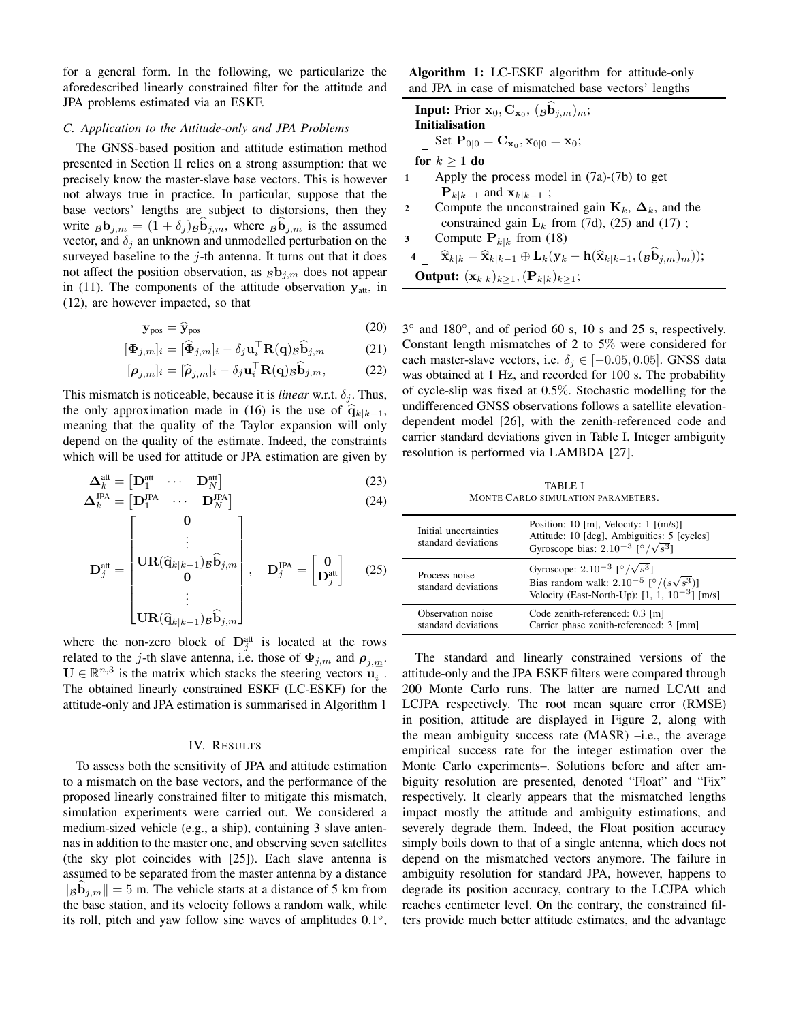for a general form. In the following, we particularize the aforedescribed linearly constrained filter for the attitude and JPA problems estimated via an ESKF.

#### *C. Application to the Attitude-only and JPA Problems*

The GNSS-based position and attitude estimation method presented in Section II relies on a strong assumption: that we precisely know the master-slave base vectors. This is however not always true in practice. In particular, suppose that the base vectors' lengths are subject to distorsions, then they write  $B_{j,m} = (1 + \delta_j)B_{j,m}$ , where  $B_{j,m}$  is the assumed vector, and  $\delta_i$  an unknown and unmodelled perturbation on the surveyed baseline to the  $j$ -th antenna. It turns out that it does not affect the position observation, as  $B_{i,m}$  does not appear in (11). The components of the attitude observation  $y_{att}$ , in (12), are however impacted, so that

$$
\mathbf{y}_{\text{pos}} = \widehat{\mathbf{y}}_{\text{pos}} \tag{20}
$$

$$
[\mathbf{\Phi}_{j,m}]_i = [\widehat{\mathbf{\Phi}}_{j,m}]_i - \delta_j \mathbf{u}_i^{\top} \mathbf{R}(\mathbf{q})_B \widehat{\mathbf{b}}_{j,m} \tag{21}
$$

$$
[\boldsymbol{\rho}_{j,m}]_i = [\widehat{\boldsymbol{\rho}}_{j,m}]_i - \delta_j \mathbf{u}_i^{\top} \mathbf{R}(\mathbf{q})_B \widehat{\mathbf{b}}_{j,m},
$$
(22)

This mismatch is noticeable, because it is *linear* w.r.t.  $\delta_j$ . Thus, the only approximation made in (16) is the use of  $\hat{q}_{k|k-1}$ , meaning that the quality of the Taylor expansion will only depend on the quality of the estimate. Indeed, the constraints which will be used for attitude or JPA estimation are given by

$$
\mathbf{\Delta}_{k}^{\text{att}} = \begin{bmatrix} \mathbf{D}_{1}^{\text{att}} & \cdots & \mathbf{D}_{N}^{\text{att}} \end{bmatrix} \tag{23}
$$

$$
\Delta_k^{\text{IPA}} = \begin{bmatrix} \mathbf{D}_1^{\text{IPA}} & \cdots & \mathbf{D}_N^{\text{IPA}} \end{bmatrix} \tag{24}
$$

$$
\mathbf{D}_{j}^{\text{att}} = \begin{bmatrix} \mathbf{0} \\ \vdots \\ \mathbf{U}\mathbf{R}(\widehat{\mathbf{q}}_{k|k-1})_{\mathcal{B}}\widehat{\mathbf{b}}_{j,m} \\ \mathbf{0} \\ \vdots \\ \mathbf{U}\mathbf{R}(\widehat{\mathbf{q}}_{k|k-1})_{\mathcal{B}}\widehat{\mathbf{b}}_{j,m} \end{bmatrix}, \quad \mathbf{D}_{j}^{\text{IPA}} = \begin{bmatrix} \mathbf{0} \\ \mathbf{D}_{j}^{\text{att}} \end{bmatrix} \quad (25)
$$

where the non-zero block of  $\mathbf{D}_j^{\text{att}}$  is located at the rows related to the j-th slave antenna, i.e. those of  $\Phi_{j,m}$  and  $\rho_{j,m}$ .  $\mathbf{U} \in \mathbb{R}^{n,3}$  is the matrix which stacks the steering vectors  $\mathbf{u}_i^{\top}$ . The obtained linearly constrained ESKF (LC-ESKF) for the attitude-only and JPA estimation is summarised in Algorithm 1

## IV. RESULTS

To assess both the sensitivity of JPA and attitude estimation to a mismatch on the base vectors, and the performance of the proposed linearly constrained filter to mitigate this mismatch, simulation experiments were carried out. We considered a medium-sized vehicle (e.g., a ship), containing 3 slave antennas in addition to the master one, and observing seven satellites (the sky plot coincides with [25]). Each slave antenna is assumed to be separated from the master antenna by a distance  $\|\mathbf{g}\mathbf{b}_{i,m}\| = 5$  m. The vehicle starts at a distance of 5 km from the base station, and its velocity follows a random walk, while its roll, pitch and yaw follow sine waves of amplitudes 0.1◦ ,

Algorithm 1: LC-ESKF algorithm for attitude-only and JPA in case of mismatched base vectors' lengths

**Input:** Prior  $\mathbf{x}_0$ ,  $\mathbf{C}_{\mathbf{x}_0}$ ,  $(\mathbf{b}_{j,m})_m$ ; Initialisation Set  $P_{0|0} = C_{\mathbf{x}_0}, \mathbf{x}_{0|0} = \mathbf{x}_0;$ for  $k > 1$  do 1 Apply the process model in  $(7a)-(7b)$  to get  $\mathbf{P}_{k|k-1}$  and  $\mathbf{x}_{k|k-1}$ ; 2 Compute the unconstrained gain  $\mathbf{K}_k$ ,  $\mathbf{\Delta}_k$ , and the constrained gain  $L_k$  from (7d), (25) and (17); 3 Compute  $\mathbf{P}_{k|k}$  from (18)  ${\bf 4} \ \rule[-3.5pt]{0.15em}{0.7pt} \ \rule[-3.5pt]{0.15em}{0.8pt} \widehat{\bf x}_{k|k} = \widehat{\bf x}_{k|k-1} \oplus {\bf L}_k\big({\bf y}_k - {\bf h}\big(\widehat{\bf x}_{k|k-1},(\widehat{{\bf p}{\bf 5}}_{j,m})_m\big)\big);$ **Output:**  $(x_{k|k})_{k\geq 1}$ ,  $(P_{k|k})_{k\geq 1}$ ;

3° and 180°, and of period 60 s, 10 s and 25 s, respectively. Constant length mismatches of 2 to 5% were considered for each master-slave vectors, i.e.  $\delta_j \in [-0.05, 0.05]$ . GNSS data was obtained at 1 Hz, and recorded for 100 s. The probability of cycle-slip was fixed at 0.5%. Stochastic modelling for the undifferenced GNSS observations follows a satellite elevationdependent model [26], with the zenith-referenced code and carrier standard deviations given in Table I. Integer ambiguity resolution is performed via LAMBDA [27].

TABLE I MONTE CARLO SIMULATION PARAMETERS.

| Initial uncertainties<br>standard deviations | Position: 10 [m], Velocity: $1$ [(m/s)]<br>Attitude: 10 [deg], Ambiguities: 5 [cycles]<br>Gyroscope bias: $2.10^{-3}$ [°/ $\sqrt{s^3}$ ]                                        |
|----------------------------------------------|---------------------------------------------------------------------------------------------------------------------------------------------------------------------------------|
| Process noise<br>standard deviations         | Gyroscope: 2.10 <sup>-3</sup> [ $\degree/\sqrt{s^3}$ ]<br>Bias random walk: 2.10 <sup>-5</sup> [ $\degree/(s\sqrt{s^3})$ ]<br>Velocity (East-North-Up): $[1, 1, 10^{-3}]$ [m/s] |
| Observation noise<br>standard deviations     | Code zenith-referenced: 0.3 [m]<br>Carrier phase zenith-referenced: 3 [mm]                                                                                                      |

The standard and linearly constrained versions of the attitude-only and the JPA ESKF filters were compared through 200 Monte Carlo runs. The latter are named LCAtt and LCJPA respectively. The root mean square error (RMSE) in position, attitude are displayed in Figure 2, along with the mean ambiguity success rate (MASR) –i.e., the average empirical success rate for the integer estimation over the Monte Carlo experiments–. Solutions before and after ambiguity resolution are presented, denoted "Float" and "Fix" respectively. It clearly appears that the mismatched lengths impact mostly the attitude and ambiguity estimations, and severely degrade them. Indeed, the Float position accuracy simply boils down to that of a single antenna, which does not depend on the mismatched vectors anymore. The failure in ambiguity resolution for standard JPA, however, happens to degrade its position accuracy, contrary to the LCJPA which reaches centimeter level. On the contrary, the constrained filters provide much better attitude estimates, and the advantage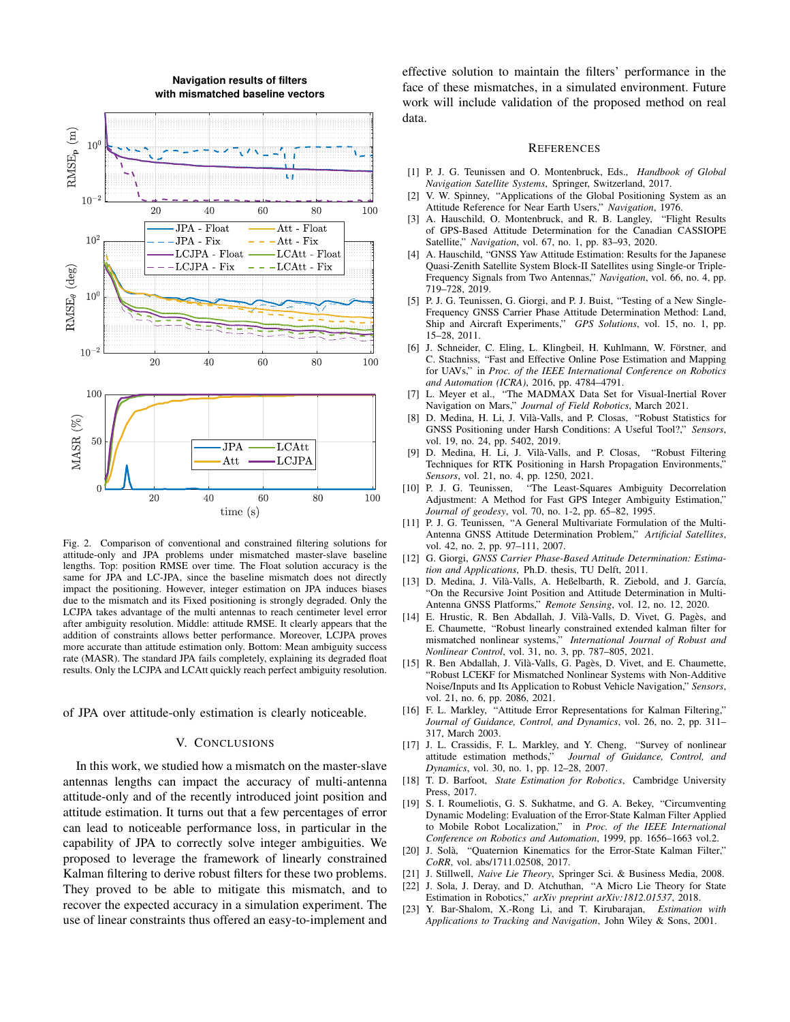

**Navigation results of filters with mismatched baseline vectors**

Fig. 2. Comparison of conventional and constrained filtering solutions for attitude-only and JPA problems under mismatched master-slave baseline lengths. Top: position RMSE over time. The Float solution accuracy is the same for JPA and LC-JPA, since the baseline mismatch does not directly impact the positioning. However, integer estimation on JPA induces biases due to the mismatch and its Fixed positioning is strongly degraded. Only the LCJPA takes advantage of the multi antennas to reach centimeter level error after ambiguity resolution. Middle: attitude RMSE. It clearly appears that the addition of constraints allows better performance. Moreover, LCJPA proves more accurate than attitude estimation only. Bottom: Mean ambiguity success rate (MASR). The standard JPA fails completely, explaining its degraded float results. Only the LCJPA and LCAtt quickly reach perfect ambiguity resolution.

of JPA over attitude-only estimation is clearly noticeable.

#### V. CONCLUSIONS

In this work, we studied how a mismatch on the master-slave antennas lengths can impact the accuracy of multi-antenna attitude-only and of the recently introduced joint position and attitude estimation. It turns out that a few percentages of error can lead to noticeable performance loss, in particular in the capability of JPA to correctly solve integer ambiguities. We proposed to leverage the framework of linearly constrained Kalman filtering to derive robust filters for these two problems. They proved to be able to mitigate this mismatch, and to recover the expected accuracy in a simulation experiment. The use of linear constraints thus offered an easy-to-implement and effective solution to maintain the filters' performance in the face of these mismatches, in a simulated environment. Future work will include validation of the proposed method on real data.

#### **REFERENCES**

- [1] P. J. G. Teunissen and O. Montenbruck, Eds., *Handbook of Global Navigation Satellite Systems*, Springer, Switzerland, 2017.
- [2] V. W. Spinney, "Applications of the Global Positioning System as an Attitude Reference for Near Earth Users," *Navigation*, 1976.
- [3] A. Hauschild, O. Montenbruck, and R. B. Langley, "Flight Results of GPS-Based Attitude Determination for the Canadian CASSIOPE Satellite," *Navigation*, vol. 67, no. 1, pp. 83–93, 2020.
- [4] A. Hauschild, "GNSS Yaw Attitude Estimation: Results for the Japanese Quasi-Zenith Satellite System Block-II Satellites using Single-or Triple-Frequency Signals from Two Antennas," *Navigation*, vol. 66, no. 4, pp. 719–728, 2019.
- [5] P. J. G. Teunissen, G. Giorgi, and P. J. Buist, "Testing of a New Single-Frequency GNSS Carrier Phase Attitude Determination Method: Land, Ship and Aircraft Experiments," *GPS Solutions*, vol. 15, no. 1, pp. 15–28, 2011.
- [6] J. Schneider, C. Eling, L. Klingbeil, H. Kuhlmann, W. Förstner, and C. Stachniss, "Fast and Effective Online Pose Estimation and Mapping for UAVs," in *Proc. of the IEEE International Conference on Robotics and Automation (ICRA)*, 2016, pp. 4784–4791.
- [7] L. Meyer et al., "The MADMAX Data Set for Visual-Inertial Rover Navigation on Mars," *Journal of Field Robotics*, March 2021.
- [8] D. Medina, H. Li, J. Vila-Valls, and P. Closas, "Robust Statistics for ` GNSS Positioning under Harsh Conditions: A Useful Tool?," *Sensors*, vol. 19, no. 24, pp. 5402, 2019.
- [9] D. Medina, H. Li, J. Vilà-Valls, and P. Closas, "Robust Filtering Techniques for RTK Positioning in Harsh Propagation Environments," *Sensors*, vol. 21, no. 4, pp. 1250, 2021.
- [10] P. J. G. Teunissen, "The Least-Squares Ambiguity Decorrelation Adjustment: A Method for Fast GPS Integer Ambiguity Estimation," *Journal of geodesy*, vol. 70, no. 1-2, pp. 65–82, 1995.
- [11] P. J. G. Teunissen, "A General Multivariate Formulation of the Multi-Antenna GNSS Attitude Determination Problem," *Artificial Satellites*, vol. 42, no. 2, pp. 97–111, 2007.
- [12] G. Giorgi, *GNSS Carrier Phase-Based Attitude Determination: Estimation and Applications*, Ph.D. thesis, TU Delft, 2011.
- [13] D. Medina, J. Vilà-Valls, A. Heßelbarth, R. Ziebold, and J. García, "On the Recursive Joint Position and Attitude Determination in Multi-Antenna GNSS Platforms," *Remote Sensing*, vol. 12, no. 12, 2020.
- [14] E. Hrustic, R. Ben Abdallah, J. Vilà-Valls, D. Vivet, G. Pagès, and E. Chaumette, "Robust linearly constrained extended kalman filter for mismatched nonlinear systems," *International Journal of Robust and Nonlinear Control*, vol. 31, no. 3, pp. 787–805, 2021.
- [15] R. Ben Abdallah, J. Vilà-Valls, G. Pagès, D. Vivet, and E. Chaumette, "Robust LCEKF for Mismatched Nonlinear Systems with Non-Additive Noise/Inputs and Its Application to Robust Vehicle Navigation," *Sensors*, vol. 21, no. 6, pp. 2086, 2021.
- [16] F. L. Markley, "Attitude Error Representations for Kalman Filtering," *Journal of Guidance, Control, and Dynamics*, vol. 26, no. 2, pp. 311– 317, March 2003.
- [17] J. L. Crassidis, F. L. Markley, and Y. Cheng, "Survey of nonlinear attitude estimation methods," *Journal of Guidance, Control, and Dynamics*, vol. 30, no. 1, pp. 12–28, 2007.
- [18] T. D. Barfoot, *State Estimation for Robotics*, Cambridge University Press, 2017.
- [19] S. I. Roumeliotis, G. S. Sukhatme, and G. A. Bekey, "Circumventing Dynamic Modeling: Evaluation of the Error-State Kalman Filter Applied to Mobile Robot Localization," in *Proc. of the IEEE International Conference on Robotics and Automation*, 1999, pp. 1656–1663 vol.2.
- [20] J. Solà, "Quaternion Kinematics for the Error-State Kalman Filter," *CoRR*, vol. abs/1711.02508, 2017.
- [21] J. Stillwell, *Naive Lie Theory*, Springer Sci. & Business Media, 2008.
- [22] J. Sola, J. Deray, and D. Atchuthan, "A Micro Lie Theory for State Estimation in Robotics," *arXiv preprint arXiv:1812.01537*, 2018.
- [23] Y. Bar-Shalom, X.-Rong Li, and T. Kirubarajan, *Estimation with Applications to Tracking and Navigation*, John Wiley & Sons, 2001.